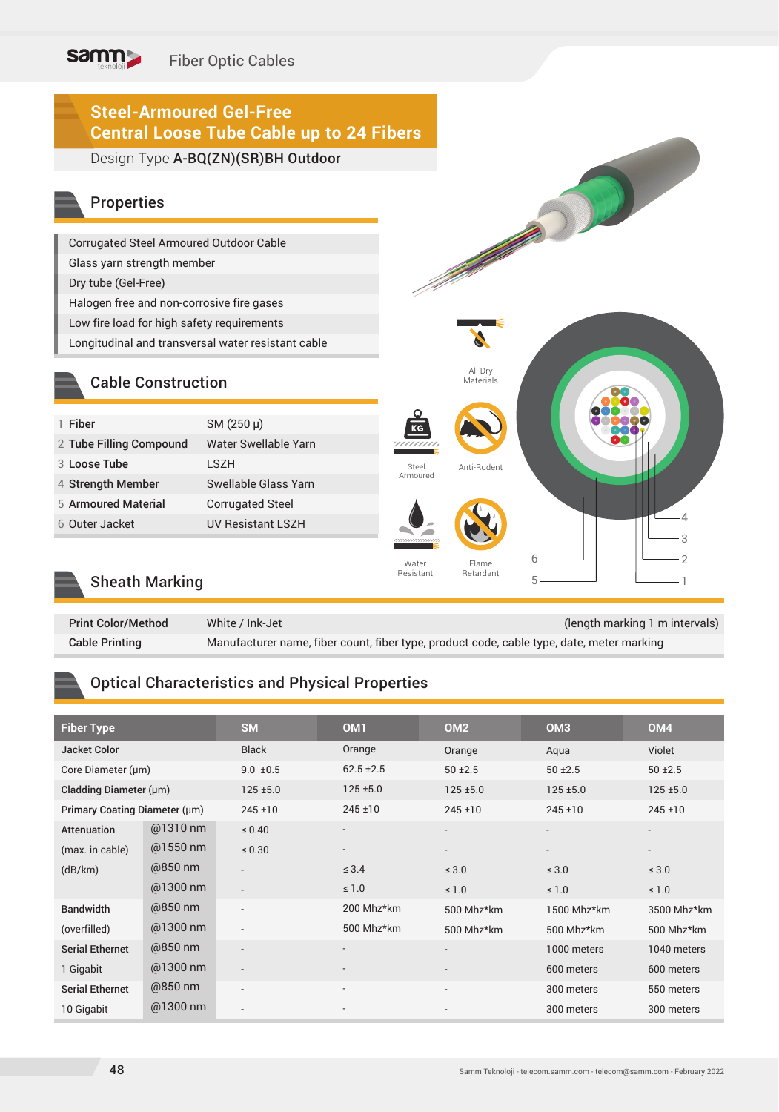#### samm Fiber Optic Cables

## **Steel-Armoured Gel-Free Central Loose Tube Cable up to 24 Fibers**

#### Design Type A-BQ(ZN)(SR)BH Outdoor

#### Properties

Corrugated Steel Armoured Outdoor Cable Glass yarn strength member Dry tube (Gel-Free) Halogen free and non-corrosive fire gases Low fire load for high safety requirements Longitudinal and transversal water resistant cable

#### Cable Construction

| 1 Fiber                 | SM (250 µ)                  |
|-------------------------|-----------------------------|
| 2 Tube Filling Compound | <b>Water Swellable Yarn</b> |
| 3 Loose Tube            | LSZH                        |
| 4 Strength Member       | Swellable Glass Yarn        |
| 5 Armoured Material     | <b>Corrugated Steel</b>     |
| 6 Outer Jacket          | <b>UV Resistant LSZH</b>    |
|                         |                             |
|                         |                             |



#### Sheath Marking

| <b>Print Color/Method</b> | White / Ink-Jet                                                                           | (length marking 1 m intervals) |
|---------------------------|-------------------------------------------------------------------------------------------|--------------------------------|
| <b>Cable Printing</b>     | Manufacturer name, fiber count, fiber type, product code, cable type, date, meter marking |                                |

#### Optical Characteristics and Physical Properties

| <b>Fiber Type</b>             |            | <b>SM</b>                | OM <sub>1</sub>          | OM <sub>2</sub>          | OM <sub>3</sub> | OM <sub>4</sub>          |
|-------------------------------|------------|--------------------------|--------------------------|--------------------------|-----------------|--------------------------|
| <b>Jacket Color</b>           |            | <b>Black</b>             | Orange                   | Orange                   | Aqua            | Violet                   |
| Core Diameter (µm)            |            | $9.0 \pm 0.5$            | $62.5 \pm 2.5$           | $50 + 2.5$               | $50 \pm 2.5$    | $50 \pm 2.5$             |
| Cladding Diameter (µm)        |            | $125 \pm 5.0$            | $125 \pm 5.0$            | $125 + 5.0$              | $125 + 5.0$     |                          |
| Primary Coating Diameter (µm) |            | $245 \pm 10$             | $245 \pm 10$             | $245 \pm 10$             | $245 \pm 10$    | $245 \pm 10$             |
| Attenuation                   | @1310 nm   | $\leq 0.40$              |                          | $\overline{\phantom{a}}$ |                 | $\overline{\phantom{a}}$ |
| (max. in cable)               | $@1550$ nm | $\leq 0.30$              | $\overline{\phantom{a}}$ | $\overline{\phantom{a}}$ |                 | $\overline{\phantom{a}}$ |
| (dB/km)                       | @850 nm    | $\overline{\phantom{a}}$ | $\leq 3.4$               | $\leq 3.0$               | $\leq 3.0$      | $\leq 3.0$               |
|                               | $@1300$ nm | $\overline{\phantom{a}}$ | $\leq 1.0$               | $\leq 1.0$               | $\leq 1.0$      | $\leq 1.0$               |
| <b>Bandwidth</b>              | @850 nm    | $\overline{\phantom{a}}$ | 200 Mhz*km               | 500 Mhz*km               | 1500 Mhz*km     | 3500 Mhz*km              |
| (overfilled)                  | $@1300$ nm | $\overline{\phantom{a}}$ | 500 Mhz*km               | 500 Mhz*km               | 500 Mhz*km      | 500 Mhz*km               |
| <b>Serial Ethernet</b>        | @850 nm    | $\overline{\phantom{a}}$ |                          | $\overline{\phantom{a}}$ | 1000 meters     | 1040 meters              |
| 1 Gigabit                     | $@1300$ nm | $\overline{\phantom{a}}$ |                          | $\overline{\phantom{a}}$ | 600 meters      | 600 meters               |
| <b>Serial Ethernet</b>        | @850 nm    | $\overline{\phantom{a}}$ | $\overline{\phantom{a}}$ | $\overline{\phantom{a}}$ | 300 meters      | 550 meters               |
| 10 Gigabit                    | @1300 nm   | $\overline{\phantom{a}}$ |                          | $\overline{\phantom{a}}$ | 300 meters      | 300 meters               |